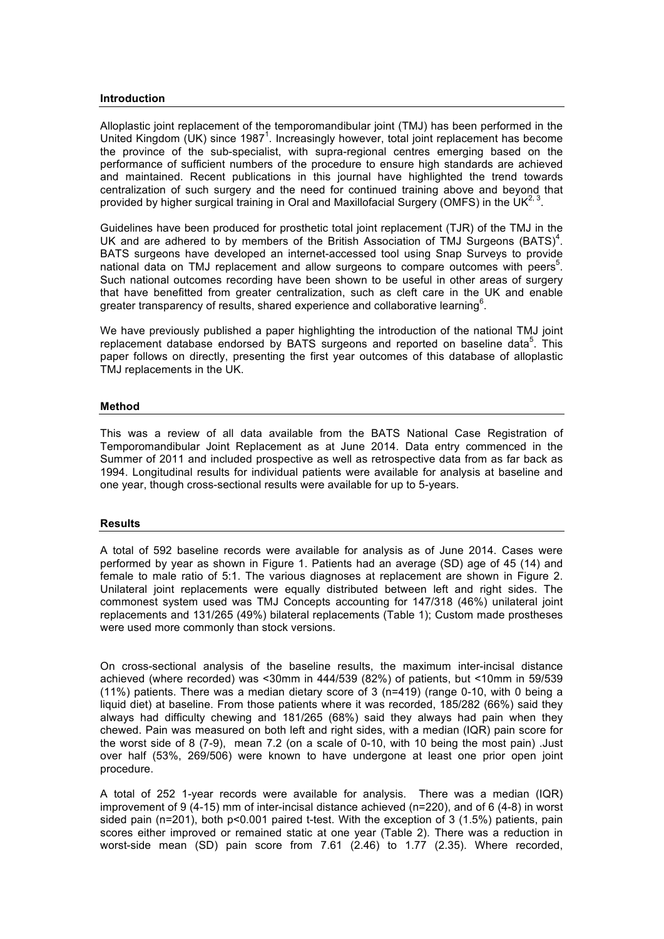#### **Introduction**

Alloplastic joint replacement of the temporomandibular joint (TMJ) has been performed in the United Kingdom (UK) since 1987<sup>1</sup>. Increasingly however, total joint replacement has become the province of the sub-specialist, with supra-regional centres emerging based on the performance of sufficient numbers of the procedure to ensure high standards are achieved and maintained. Recent publications in this journal have highlighted the trend towards centralization of such surgery and the need for continued training above and beyond that provided by higher surgical training in Oral and Maxillofacial Surgery (OMFS) in the UK<sup>2, 3</sup>.

Guidelines have been produced for prosthetic total joint replacement (TJR) of the TMJ in the UK and are adhered to by members of the British Association of TMJ Surgeons  $(BATS)^4$ . BATS surgeons have developed an internet-accessed tool using Snap Surveys to provide national data on TMJ replacement and allow surgeons to compare outcomes with peers<sup>5</sup>. Such national outcomes recording have been shown to be useful in other areas of surgery that have benefitted from greater centralization, such as cleft care in the UK and enable greater transparency of results, shared experience and collaborative learning<sup>6</sup>.

We have previously published a paper highlighting the introduction of the national TMJ joint replacement database endorsed by BATS surgeons and reported on baseline data<sup>5</sup>. This paper follows on directly, presenting the first year outcomes of this database of alloplastic TMJ replacements in the UK.

### **Method**

This was a review of all data available from the BATS National Case Registration of Temporomandibular Joint Replacement as at June 2014. Data entry commenced in the Summer of 2011 and included prospective as well as retrospective data from as far back as 1994. Longitudinal results for individual patients were available for analysis at baseline and one year, though cross-sectional results were available for up to 5-years.

#### **Results**

A total of 592 baseline records were available for analysis as of June 2014. Cases were performed by year as shown in Figure 1. Patients had an average (SD) age of 45 (14) and female to male ratio of 5:1. The various diagnoses at replacement are shown in Figure 2. Unilateral joint replacements were equally distributed between left and right sides. The commonest system used was TMJ Concepts accounting for 147/318 (46%) unilateral joint replacements and 131/265 (49%) bilateral replacements (Table 1); Custom made prostheses were used more commonly than stock versions.

On cross-sectional analysis of the baseline results, the maximum inter-incisal distance achieved (where recorded) was <30mm in 444/539 (82%) of patients, but <10mm in 59/539 (11%) patients. There was a median dietary score of 3 (n=419) (range 0-10, with 0 being a liquid diet) at baseline. From those patients where it was recorded, 185/282 (66%) said they always had difficulty chewing and 181/265 (68%) said they always had pain when they chewed. Pain was measured on both left and right sides, with a median (IQR) pain score for the worst side of 8 (7-9), mean 7.2 (on a scale of 0-10, with 10 being the most pain) .Just over half (53%, 269/506) were known to have undergone at least one prior open joint procedure.

A total of 252 1-year records were available for analysis. There was a median (IQR) improvement of 9 (4-15) mm of inter-incisal distance achieved (n=220), and of 6 (4-8) in worst sided pain (n=201), both p<0.001 paired t-test. With the exception of 3 (1.5%) patients, pain scores either improved or remained static at one year (Table 2). There was a reduction in worst-side mean (SD) pain score from 7.61 (2.46) to 1.77 (2.35). Where recorded,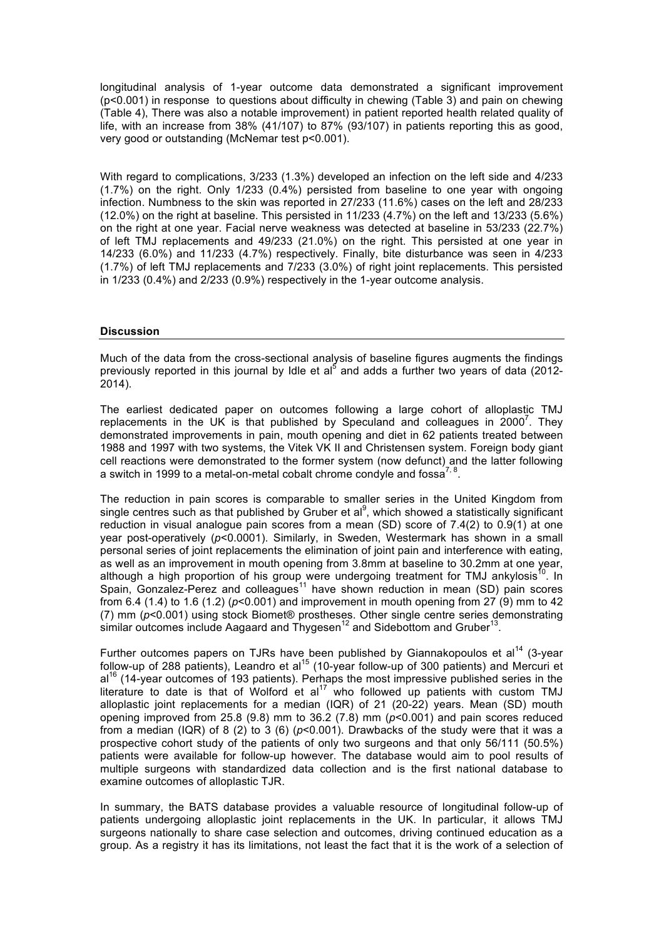longitudinal analysis of 1-year outcome data demonstrated a significant improvement (p<0.001) in response to questions about difficulty in chewing (Table 3) and pain on chewing (Table 4), There was also a notable improvement) in patient reported health related quality of life, with an increase from 38% (41/107) to 87% (93/107) in patients reporting this as good, very good or outstanding (McNemar test p<0.001).

With regard to complications, 3/233 (1.3%) developed an infection on the left side and 4/233 (1.7%) on the right. Only 1/233 (0.4%) persisted from baseline to one year with ongoing infection. Numbness to the skin was reported in 27/233 (11.6%) cases on the left and 28/233 (12.0%) on the right at baseline. This persisted in 11/233 (4.7%) on the left and 13/233 (5.6%) on the right at one year. Facial nerve weakness was detected at baseline in 53/233 (22.7%) of left TMJ replacements and 49/233 (21.0%) on the right. This persisted at one year in 14/233 (6.0%) and 11/233 (4.7%) respectively. Finally, bite disturbance was seen in 4/233 (1.7%) of left TMJ replacements and 7/233 (3.0%) of right joint replacements. This persisted in 1/233 (0.4%) and 2/233 (0.9%) respectively in the 1-year outcome analysis.

### **Discussion**

Much of the data from the cross-sectional analysis of baseline figures augments the findings previously reported in this journal by Idle et al<sup>5</sup> and adds a further two years of data (2012-2014).

The earliest dedicated paper on outcomes following a large cohort of alloplastic TMJ replacements in the UK is that published by Speculand and colleagues in  $2000^7$ . They demonstrated improvements in pain, mouth opening and diet in 62 patients treated between 1988 and 1997 with two systems, the Vitek VK II and Christensen system. Foreign body giant cell reactions were demonstrated to the former system (now defunct) and the latter following a switch in 1999 to a metal-on-metal cobalt chrome condyle and fossa<sup>7, 8</sup>.

The reduction in pain scores is comparable to smaller series in the United Kingdom from single centres such as that published by Gruber et al<sup>9</sup>, which showed a statistically significant reduction in visual analogue pain scores from a mean (SD) score of 7.4(2) to 0.9(1) at one year post-operatively (*p*<0.0001). Similarly, in Sweden, Westermark has shown in a small personal series of joint replacements the elimination of joint pain and interference with eating, as well as an improvement in mouth opening from 3.8mm at baseline to 30.2mm at one year, although a high proportion of his group were undergoing treatment for TMJ ankylosis $^{10}$ . In Spain, Gonzalez-Perez and colleagues<sup>11</sup> have shown reduction in mean (SD) pain scores from 6.4 (1.4) to 1.6 (1.2) (*p*<0.001) and improvement in mouth opening from 27 (9) mm to 42 (7) mm (*p*<0.001) using stock Biomet® prostheses. Other single centre series demonstrating similar outcomes include Aagaard and Thygesen<sup>12</sup> and Sidebottom and Gruber<sup>13</sup>.

Further outcomes papers on TJRs have been published by Giannakopoulos et al<sup>14</sup> (3-year follow-up of 288 patients), Leandro et al<sup>15</sup> (10-year follow-up of 300 patients) and Mercuri et  $al^{16}$  (14-year outcomes of 193 patients). Perhaps the most impressive published series in the literature to date is that of Wolford et  $a^{17}$  who followed up patients with custom TMJ alloplastic joint replacements for a median (IQR) of 21 (20-22) years. Mean (SD) mouth opening improved from 25.8 (9.8) mm to 36.2 (7.8) mm (*p*<0.001) and pain scores reduced from a median (IQR) of 8 (2) to 3 (6) (*p*<0.001). Drawbacks of the study were that it was a prospective cohort study of the patients of only two surgeons and that only 56/111 (50.5%) patients were available for follow-up however. The database would aim to pool results of multiple surgeons with standardized data collection and is the first national database to examine outcomes of alloplastic TJR.

In summary, the BATS database provides a valuable resource of longitudinal follow-up of patients undergoing alloplastic joint replacements in the UK. In particular, it allows TMJ surgeons nationally to share case selection and outcomes, driving continued education as a group. As a registry it has its limitations, not least the fact that it is the work of a selection of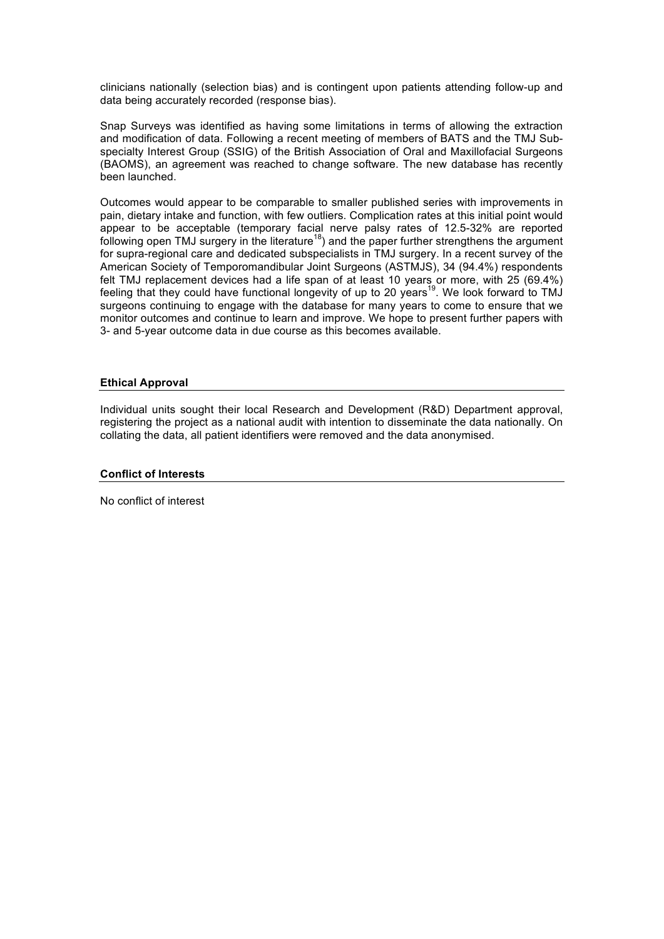clinicians nationally (selection bias) and is contingent upon patients attending follow-up and data being accurately recorded (response bias).

Snap Surveys was identified as having some limitations in terms of allowing the extraction and modification of data. Following a recent meeting of members of BATS and the TMJ Subspecialty Interest Group (SSIG) of the British Association of Oral and Maxillofacial Surgeons (BAOMS), an agreement was reached to change software. The new database has recently been launched.

Outcomes would appear to be comparable to smaller published series with improvements in pain, dietary intake and function, with few outliers. Complication rates at this initial point would appear to be acceptable (temporary facial nerve palsy rates of 12.5-32% are reported following open TMJ surgery in the literature<sup>18</sup>) and the paper further strengthens the argument for supra-regional care and dedicated subspecialists in TMJ surgery. In a recent survey of the American Society of Temporomandibular Joint Surgeons (ASTMJS), 34 (94.4%) respondents felt TMJ replacement devices had a life span of at least 10 years or more, with 25 (69.4%) feeling that they could have functional longevity of up to 20 years<sup>19</sup>. We look forward to TMJ surgeons continuing to engage with the database for many years to come to ensure that we monitor outcomes and continue to learn and improve. We hope to present further papers with 3- and 5-year outcome data in due course as this becomes available.

## **Ethical Approval**

Individual units sought their local Research and Development (R&D) Department approval, registering the project as a national audit with intention to disseminate the data nationally. On collating the data, all patient identifiers were removed and the data anonymised.

## **Conflict of Interests**

No conflict of interest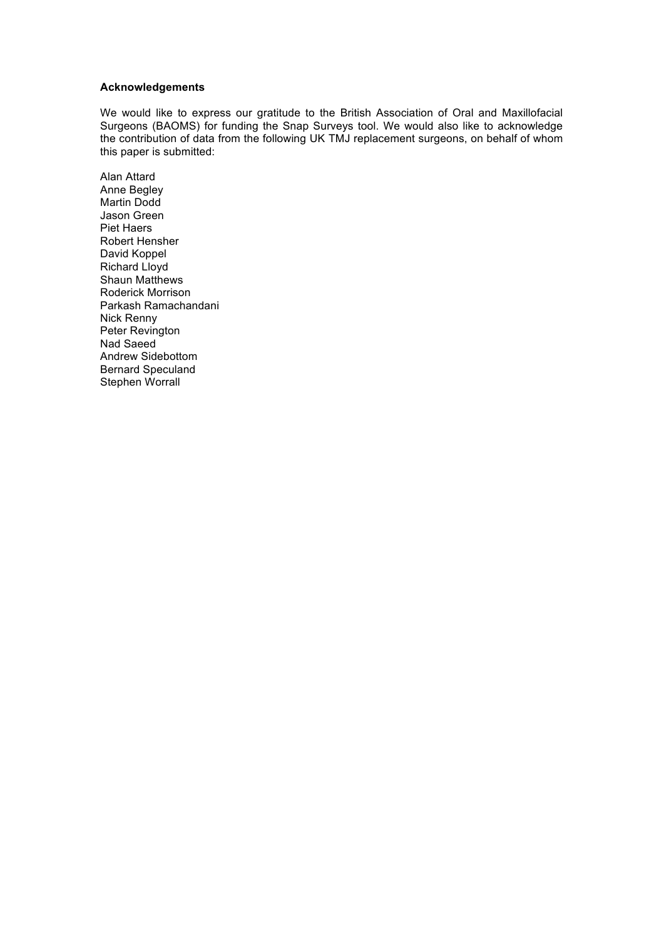## **Acknowledgements**

We would like to express our gratitude to the British Association of Oral and Maxillofacial Surgeons (BAOMS) for funding the Snap Surveys tool. We would also like to acknowledge the contribution of data from the following UK TMJ replacement surgeons, on behalf of whom this paper is submitted:

Alan Attard Anne Begley Martin Dodd Jason Green Piet Haers Robert Hensher David Koppel Richard Lloyd Shaun Matthews Roderick Morrison Parkash Ramachandani Nick Renny Peter Revington Nad Saeed Andrew Sidebottom Bernard Speculand Stephen Worrall